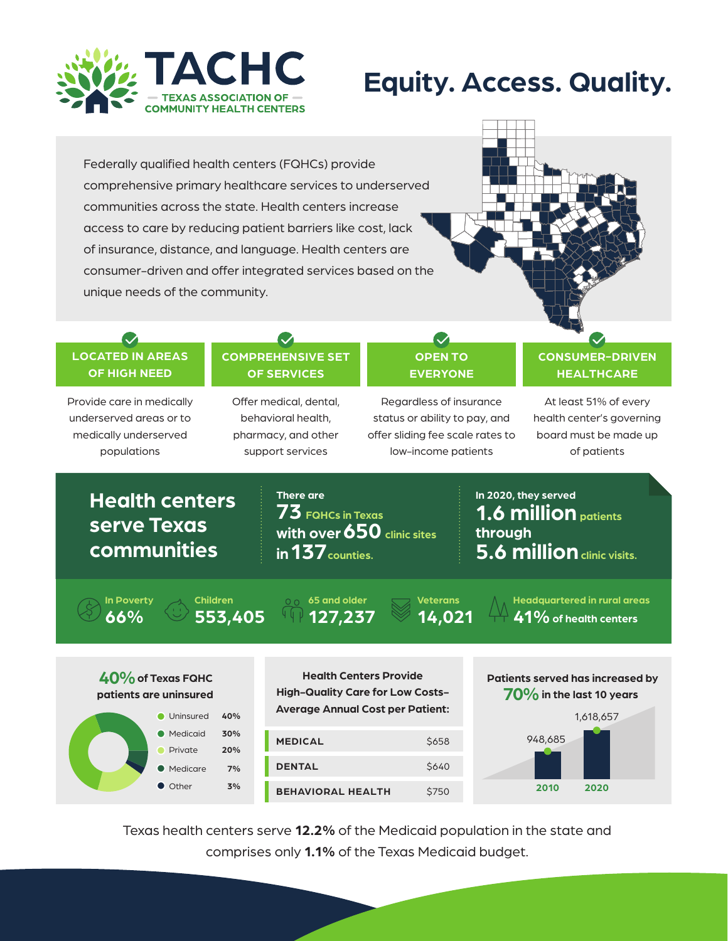

# **Equity. Access. Quality.**

Federally qualified health centers (FQHCs) provide comprehensive primary healthcare services to underserved communities across the state. Health centers increase access to care by reducing patient barriers like cost, lack of insurance, distance, and language. Health centers are consumer-driven and offer integrated services based on the unique needs of the community.



#### **LOCATED IN AREAS OF HIGH NEED**

 $\boldsymbol{\mathcal{S}}$ 

Provide care in medically underserved areas or to medically underserved populations

## **COMPREHENSIVE SET OF SERVICES**

Offer medical, dental, behavioral health, pharmacy, and other support services

### **OPEN TO EVERYONE**

 $\boldsymbol{\triangledown}$ 

Regardless of insurance status or ability to pay, and offer sliding fee scale rates to low-income patients

#### **CONSUMER-DRIVEN HEALTHCARE**

At least 51% of every health center's governing board must be made up of patients

# **Health centers serve Texas communities**

**73 FQHCs in Texas with over 650 clinic sites in 137 counties. There are**

**1.6 million patients 5.6 million clinic visits. through In 2020, they served**

**66% In Poverty**

**553,405 Children**

**127,237 65 and older**

**14,021 Veterans**

**41%of health centers Headquartered in rural areas**

## $40%$  of Texas FQHC **patients are uninsured** Uninsured **40%**



**Health Centers Provide High-Quality Care for Low Costs-Average Annual Cost per Patient:**





Texas health centers serve **12.2%** of the Medicaid population in the state and comprises only **1.1%** of the Texas Medicaid budget.